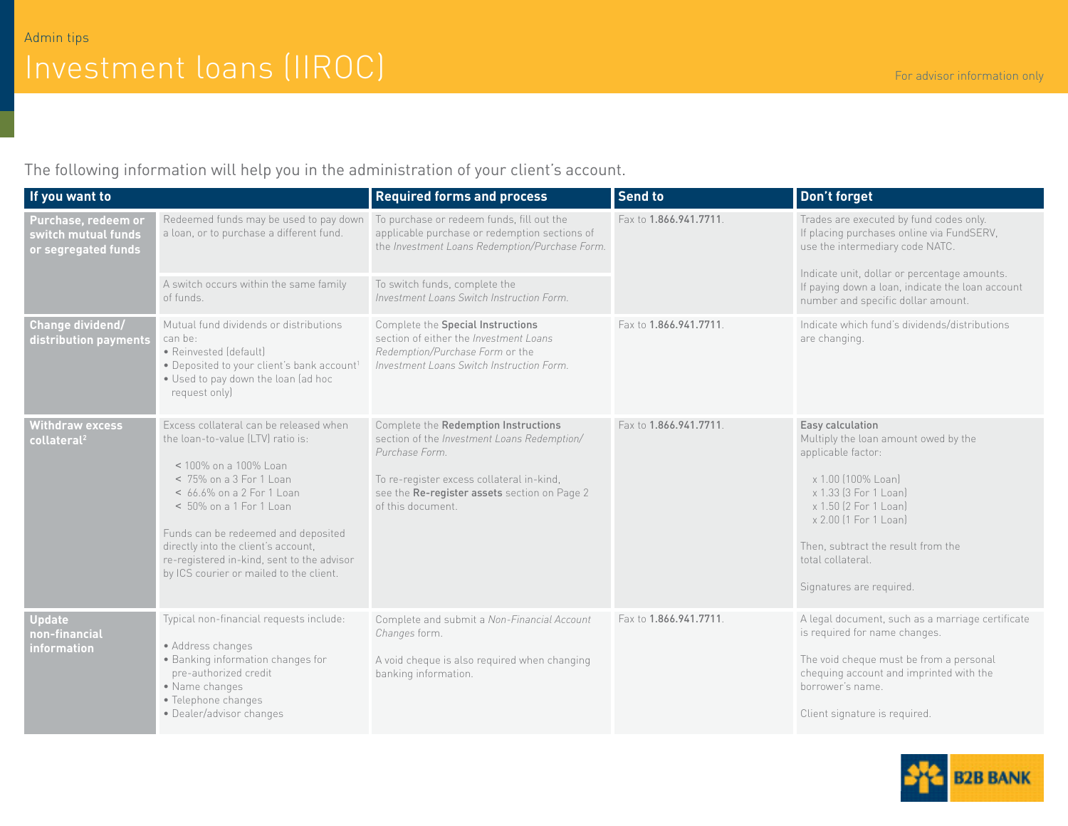The following information will help you in the administration of your client's account.

| If you want to                                                    |                                                                                                                                                                                                                                                                                                                                                                | <b>Required forms and process</b>                                                                                                                                                                                       | <b>Send to</b>        | Don't forget                                                                                                                                                                                                                                                           |
|-------------------------------------------------------------------|----------------------------------------------------------------------------------------------------------------------------------------------------------------------------------------------------------------------------------------------------------------------------------------------------------------------------------------------------------------|-------------------------------------------------------------------------------------------------------------------------------------------------------------------------------------------------------------------------|-----------------------|------------------------------------------------------------------------------------------------------------------------------------------------------------------------------------------------------------------------------------------------------------------------|
| Purchase, redeem or<br>switch mutual funds<br>or segregated funds | Redeemed funds may be used to pay down<br>a loan, or to purchase a different fund.                                                                                                                                                                                                                                                                             | To purchase or redeem funds, fill out the<br>applicable purchase or redemption sections of<br>the Investment Loans Redemption/Purchase Form.                                                                            | Fax to 1.866.941.7711 | Trades are executed by fund codes only.<br>If placing purchases online via FundSERV,<br>use the intermediary code NATC.                                                                                                                                                |
|                                                                   | A switch occurs within the same family<br>of funds.                                                                                                                                                                                                                                                                                                            | To switch funds, complete the<br>Investment Loans Switch Instruction Form.                                                                                                                                              |                       | Indicate unit, dollar or percentage amounts.<br>If paying down a loan, indicate the loan account<br>number and specific dollar amount.                                                                                                                                 |
| Change dividend/<br>distribution payments                         | Mutual fund dividends or distributions<br>can be:<br>· Reinvested (default)<br>· Deposited to your client's bank account1<br>. Used to pay down the loan (ad hoc<br>request only)                                                                                                                                                                              | Complete the Special Instructions<br>section of either the Investment Loans<br>Redemption/Purchase Form or the<br>Investment Loans Switch Instruction Form.                                                             | Fax to 1.866.941.7711 | Indicate which fund's dividends/distributions<br>are changing.                                                                                                                                                                                                         |
| <b>Withdraw excess</b><br>collateral <sup>2</sup>                 | Excess collateral can be released when<br>the loan-to-value (LTV) ratio is:<br>< 100% on a 100% Loan<br>< 75% on a 3 For 1 Loan<br>< 66.6% on a 2 For 1 Loan<br>< 50% on a 1 For 1 Loan<br>Funds can be redeemed and deposited<br>directly into the client's account,<br>re-registered in-kind, sent to the advisor<br>by ICS courier or mailed to the client. | Complete the Redemption Instructions<br>section of the Investment Loans Redemption/<br>Purchase Form.<br>To re-register excess collateral in-kind,<br>see the Re-register assets section on Page 2<br>of this document. | Fax to 1.866.941.7711 | Easy calculation<br>Multiply the loan amount owed by the<br>applicable factor:<br>x 1.00 (100% Loan)<br>x 1.33 (3 For 1 Loan)<br>x 1.50 (2 For 1 Loan)<br>x 2.00 (1 For 1 Loan)<br>Then, subtract the result from the<br>total collateral.<br>Signatures are required. |
| Update <sup>1</sup><br>non-financial<br>information               | Typical non-financial requests include:<br>• Address changes<br>· Banking information changes for<br>pre-authorized credit<br>• Name changes<br>• Telephone changes<br>• Dealer/advisor changes                                                                                                                                                                | Complete and submit a Non-Financial Account<br>Changes form.<br>A void cheque is also required when changing<br>banking information.                                                                                    | Fax to 1.866.941.7711 | A legal document, such as a marriage certificate<br>is required for name changes.<br>The void cheque must be from a personal<br>chequing account and imprinted with the<br>borrower's name.<br>Client signature is required.                                           |

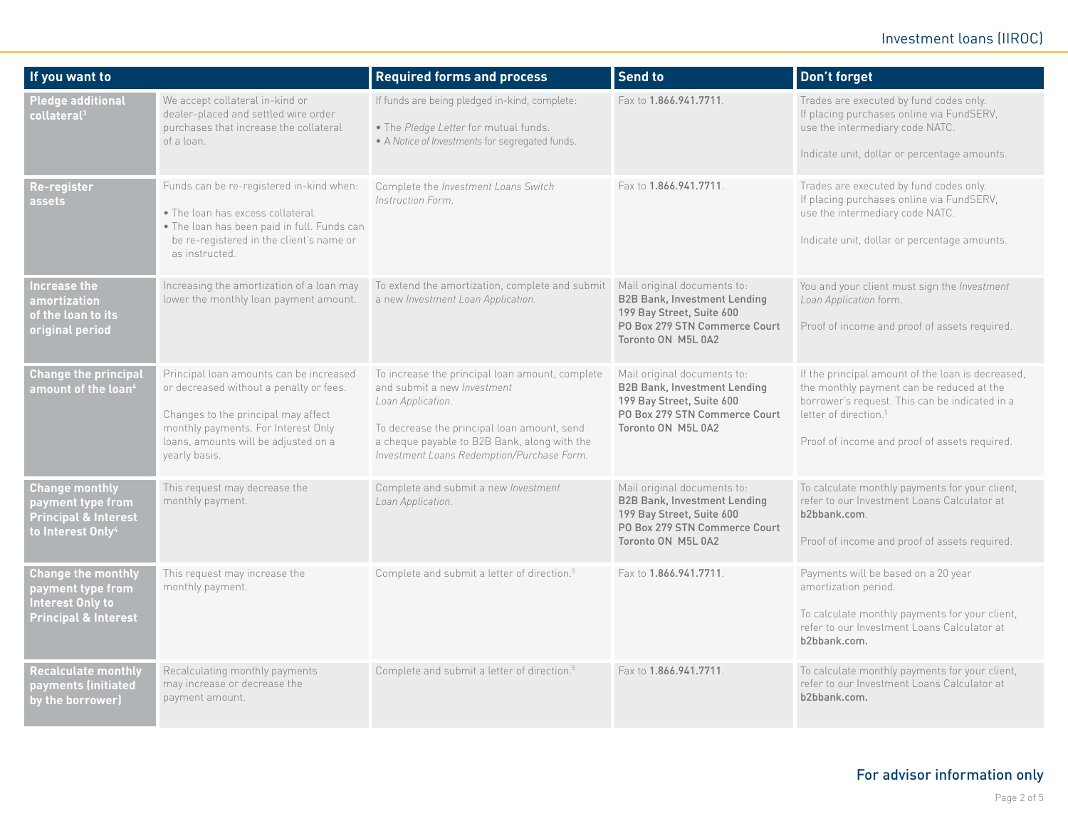## Investment loans (IIROC)

| If you want to                                                                                                 |                                                                                                                                                                                                                           | <b>Required forms and process</b>                                                                                                                                                                                                                | <b>Send to</b>                                                                                                                                         | Don't forget                                                                                                                                                                                                                           |
|----------------------------------------------------------------------------------------------------------------|---------------------------------------------------------------------------------------------------------------------------------------------------------------------------------------------------------------------------|--------------------------------------------------------------------------------------------------------------------------------------------------------------------------------------------------------------------------------------------------|--------------------------------------------------------------------------------------------------------------------------------------------------------|----------------------------------------------------------------------------------------------------------------------------------------------------------------------------------------------------------------------------------------|
| <b>Pledge additional</b><br>collateral $^{\rm 3}$                                                              | We accept collateral in-kind or<br>dealer-placed and settled wire order<br>purchases that increase the collateral<br>of a loan.                                                                                           | If funds are being pledged in-kind, complete:<br>. The Pledge Letter for mutual funds.<br>• A Notice of Investments for segregated funds.                                                                                                        | Fax to 1.866.941.7711                                                                                                                                  | Trades are executed by fund codes only.<br>If placing purchases online via FundSERV,<br>use the intermediary code NATC.<br>Indicate unit, dollar or percentage amounts.                                                                |
| Re-register<br>assets                                                                                          | Funds can be re-registered in-kind when:<br>• The loan has excess collateral.<br>. The loan has been paid in full. Funds can<br>be re-registered in the client's name or<br>as instructed.                                | Complete the Investment Loans Switch<br>Instruction Form.                                                                                                                                                                                        | Fax to 1.866.941.7711                                                                                                                                  | Trades are executed by fund codes only.<br>If placing purchases online via FundSERV,<br>use the intermediary code NATC.<br>Indicate unit, dollar or percentage amounts.                                                                |
| Increase the<br>amortization<br>of the loan to its<br>original period                                          | Increasing the amortization of a loan may<br>lower the monthly loan payment amount.                                                                                                                                       | To extend the amortization, complete and submit<br>a new Investment Loan Application.                                                                                                                                                            | Mail original documents to:<br><b>B2B Bank, Investment Lending</b><br>199 Bay Street, Suite 600<br>PO Box 279 STN Commerce Court<br>Toronto ON M5L 0A2 | You and your client must sign the Investment<br>Loan Application form.<br>Proof of income and proof of assets required.                                                                                                                |
| <b>Change the principal</b><br>amount of the loan $^4$                                                         | Principal loan amounts can be increased<br>or decreased without a penalty or fees.<br>Changes to the principal may affect<br>monthly payments. For Interest Only<br>loans, amounts will be adjusted on a<br>yearly basis. | To increase the principal loan amount, complete<br>and submit a new Investment<br>Loan Application.<br>To decrease the principal loan amount, send<br>a cheque payable to B2B Bank, along with the<br>Investment Loans Redemption/Purchase Form. | Mail original documents to:<br><b>B2B Bank, Investment Lending</b><br>199 Bay Street, Suite 600<br>PO Box 279 STN Commerce Court<br>Toronto ON M5L 0A2 | If the principal amount of the loan is decreased,<br>the monthly payment can be reduced at the<br>borrower's request. This can be indicated in a<br>letter of direction. <sup>5</sup><br>Proof of income and proof of assets required. |
| <b>Change monthly</b><br>payment type from<br><b>Principal &amp; Interest</b><br>to Interest Only <sup>4</sup> | This request may decrease the<br>monthly payment.                                                                                                                                                                         | Complete and submit a new Investment<br>Loan Application.                                                                                                                                                                                        | Mail original documents to:<br><b>B2B Bank, Investment Lending</b><br>199 Bay Street, Suite 600<br>PO Box 279 STN Commerce Court<br>Toronto ON M5L 0A2 | To calculate monthly payments for your client,<br>refer to our Investment Loans Calculator at<br>b2bbank.com.<br>Proof of income and proof of assets required.                                                                         |
| <b>Change the monthly</b><br>payment type from<br>Interest Only to<br><b>Principal &amp; Interest</b>          | This request may increase the<br>monthly payment.                                                                                                                                                                         | Complete and submit a letter of direction. <sup>5</sup>                                                                                                                                                                                          | Fax to 1.866.941.7711                                                                                                                                  | Payments will be based on a 20 year<br>amortization period.<br>To calculate monthly payments for your client,<br>refer to our Investment Loans Calculator at<br>b2bbank.com.                                                           |
| <b>Recalculate monthly</b><br>payments (initiated<br>by the borrower)                                          | Recalculating monthly payments<br>may increase or decrease the<br>payment amount.                                                                                                                                         | Complete and submit a letter of direction. <sup>5</sup>                                                                                                                                                                                          | Fax to 1.866.941.7711                                                                                                                                  | To calculate monthly payments for your client,<br>refer to our Investment Loans Calculator at<br>b2bbank.com.                                                                                                                          |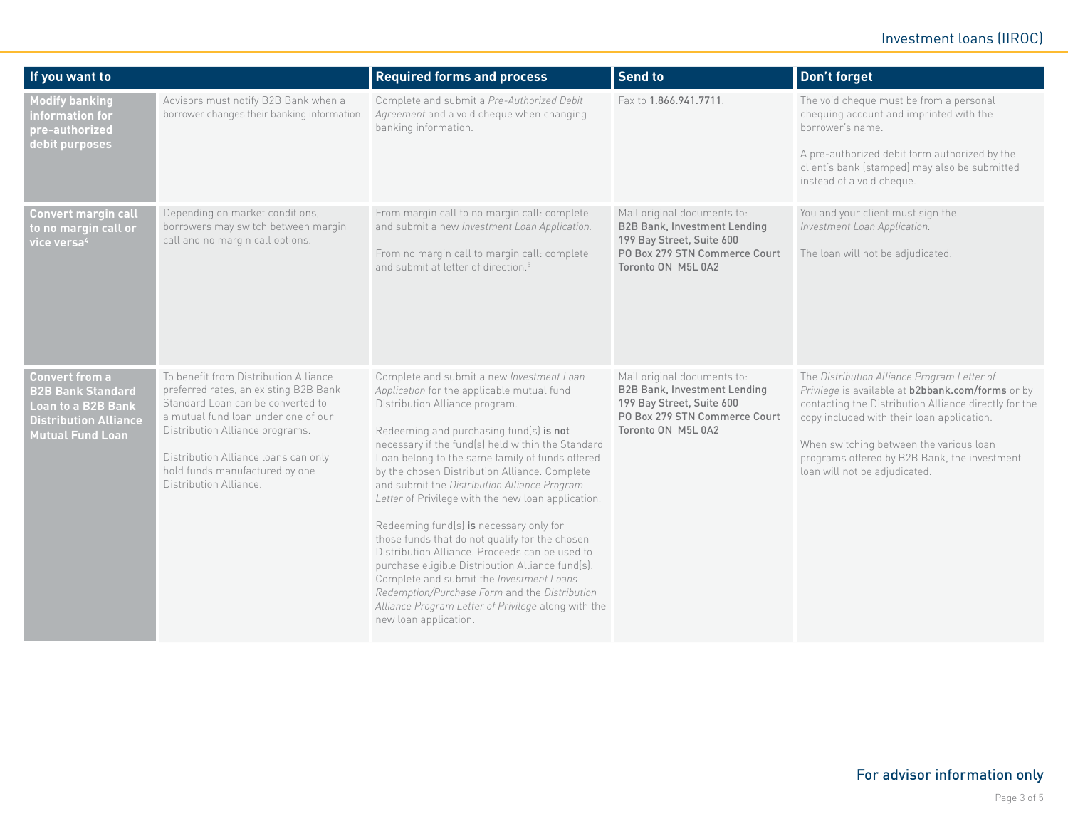## Investment loans (IIROC)

| If you want to                                                                                                                     |                                                                                                                                                                                                                                                                                                   | <b>Required forms and process</b>                                                                                                                                                                                                                                                                                                                                                                                                                                                                                                                                                                                                                                                                                                                                                                                   | <b>Send to</b>                                                                                                                                         | Don't forget                                                                                                                                                                                                                                                                                                                        |
|------------------------------------------------------------------------------------------------------------------------------------|---------------------------------------------------------------------------------------------------------------------------------------------------------------------------------------------------------------------------------------------------------------------------------------------------|---------------------------------------------------------------------------------------------------------------------------------------------------------------------------------------------------------------------------------------------------------------------------------------------------------------------------------------------------------------------------------------------------------------------------------------------------------------------------------------------------------------------------------------------------------------------------------------------------------------------------------------------------------------------------------------------------------------------------------------------------------------------------------------------------------------------|--------------------------------------------------------------------------------------------------------------------------------------------------------|-------------------------------------------------------------------------------------------------------------------------------------------------------------------------------------------------------------------------------------------------------------------------------------------------------------------------------------|
| <b>Modify banking</b><br>information for<br>pre-authorized<br>debit purposes                                                       | Advisors must notify B2B Bank when a<br>borrower changes their banking information.                                                                                                                                                                                                               | Complete and submit a Pre-Authorized Debit<br>Agreement and a void cheque when changing<br>banking information.                                                                                                                                                                                                                                                                                                                                                                                                                                                                                                                                                                                                                                                                                                     | Fax to 1.866.941.7711.                                                                                                                                 | The void cheque must be from a personal<br>chequing account and imprinted with the<br>borrower's name.<br>A pre-authorized debit form authorized by the<br>client's bank (stamped) may also be submitted<br>instead of a void cheque.                                                                                               |
| <b>Convert margin call</b><br>to no margin call or<br>vice versa <sup>4</sup>                                                      | Depending on market conditions,<br>borrowers may switch between margin<br>call and no margin call options.                                                                                                                                                                                        | From margin call to no margin call: complete<br>and submit a new Investment Loan Application.<br>From no margin call to margin call: complete<br>and submit at letter of direction. <sup>5</sup>                                                                                                                                                                                                                                                                                                                                                                                                                                                                                                                                                                                                                    | Mail original documents to:<br><b>B2B Bank, Investment Lending</b><br>199 Bay Street, Suite 600<br>PO Box 279 STN Commerce Court<br>Toronto ON M5L 0A2 | You and your client must sign the<br>Investment Loan Application.<br>The loan will not be adjudicated.                                                                                                                                                                                                                              |
| <b>Convert from a</b><br><b>B2B Bank Standard</b><br>Loan to a B2B Bank<br><b>Distribution Alliance</b><br><b>Mutual Fund Loan</b> | To benefit from Distribution Alliance<br>preferred rates, an existing B2B Bank<br>Standard Loan can be converted to<br>a mutual fund loan under one of our<br>Distribution Alliance programs.<br>Distribution Alliance loans can only<br>hold funds manufactured by one<br>Distribution Alliance. | Complete and submit a new Investment Loan<br>Application for the applicable mutual fund<br>Distribution Alliance program.<br>Redeeming and purchasing fund(s) is not<br>necessary if the fund(s) held within the Standard<br>Loan belong to the same family of funds offered<br>by the chosen Distribution Alliance. Complete<br>and submit the Distribution Alliance Program<br>Letter of Privilege with the new loan application.<br>Redeeming fund(s) is necessary only for<br>those funds that do not qualify for the chosen<br>Distribution Alliance. Proceeds can be used to<br>purchase eligible Distribution Alliance fund(s).<br>Complete and submit the Investment Loans<br>Redemption/Purchase Form and the Distribution<br>Alliance Program Letter of Privilege along with the<br>new loan application. | Mail original documents to:<br><b>B2B Bank, Investment Lending</b><br>199 Bay Street, Suite 600<br>PO Box 279 STN Commerce Court<br>Toronto ON M5L 0A2 | The Distribution Alliance Program Letter of<br>Privilege is available at b2bbank.com/forms or by<br>contacting the Distribution Alliance directly for the<br>copy included with their loan application.<br>When switching between the various loan<br>programs offered by B2B Bank, the investment<br>loan will not be adjudicated. |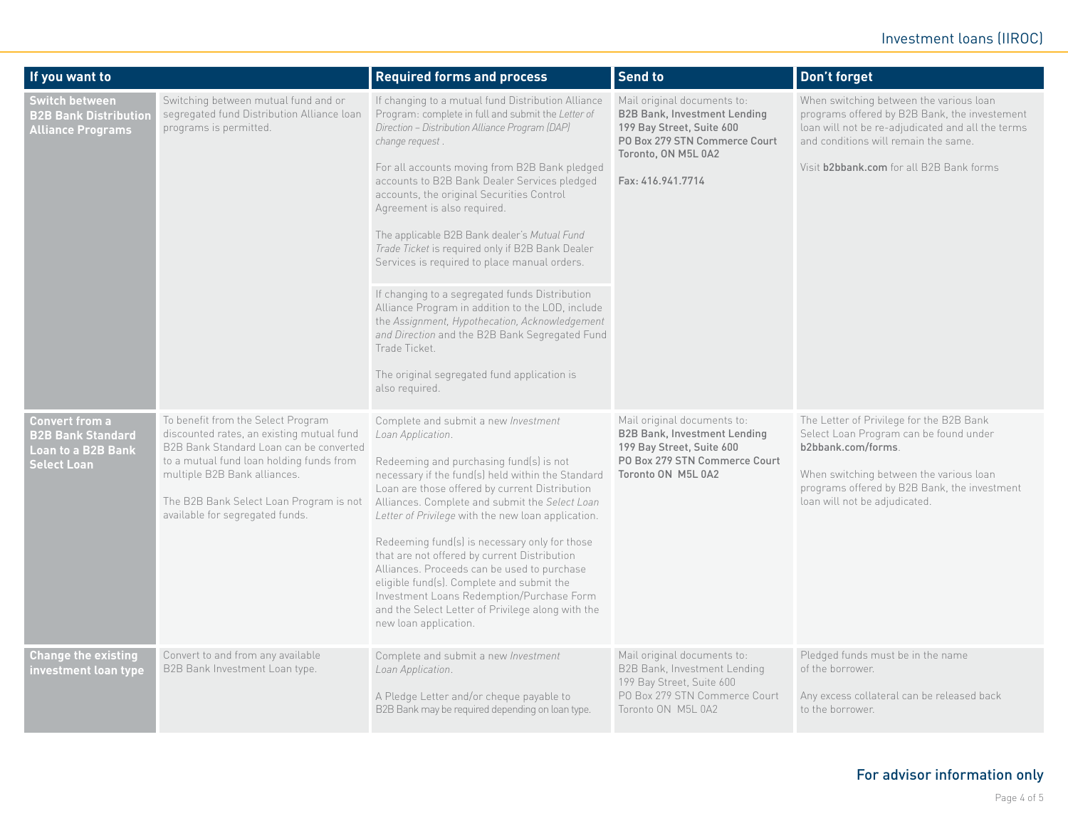## Investment loans (IIROC)

| If you want to                                                                                                                     |                                                                                                                                                                                                                                                                                                                           | <b>Required forms and process</b>                                                                                                                                                                                                                                                                                                                                                                                                                                                                                                                                                                                                                                                                                                                                                                          | <b>Send to</b>                                                                                                                                                                        | Don't forget                                                                                                                                                                                                                                                              |
|------------------------------------------------------------------------------------------------------------------------------------|---------------------------------------------------------------------------------------------------------------------------------------------------------------------------------------------------------------------------------------------------------------------------------------------------------------------------|------------------------------------------------------------------------------------------------------------------------------------------------------------------------------------------------------------------------------------------------------------------------------------------------------------------------------------------------------------------------------------------------------------------------------------------------------------------------------------------------------------------------------------------------------------------------------------------------------------------------------------------------------------------------------------------------------------------------------------------------------------------------------------------------------------|---------------------------------------------------------------------------------------------------------------------------------------------------------------------------------------|---------------------------------------------------------------------------------------------------------------------------------------------------------------------------------------------------------------------------------------------------------------------------|
| <b>Switch between</b><br><b>B2B Bank Distribution</b><br><b>Alliance Programs</b>                                                  | Switching between mutual fund and or<br>segregated fund Distribution Alliance loan<br>programs is permitted.                                                                                                                                                                                                              | If changing to a mutual fund Distribution Alliance<br>Program: complete in full and submit the Letter of<br>Direction - Distribution Alliance Program (DAP)<br>change request<br>For all accounts moving from B2B Bank pledged<br>accounts to B2B Bank Dealer Services pledged<br>accounts, the original Securities Control<br>Agreement is also required.<br>The applicable B2B Bank dealer's Mutual Fund<br>Trade Ticket is required only if B2B Bank Dealer<br>Services is required to place manual orders.<br>If changing to a segregated funds Distribution<br>Alliance Program in addition to the LOD, include<br>the Assignment, Hypothecation, Acknowledgement<br>and Direction and the B2B Bank Segregated Fund<br>Trade Ticket.<br>The original segregated fund application is<br>also required. | Mail original documents to:<br><b>B2B Bank, Investment Lending</b><br>199 Bay Street, Suite 600<br>PO Box 279 STN Commerce Court<br>Toronto, ON M5L 0A2<br>Fax: 416.941.7714          | When switching between the various loan<br>programs offered by B2B Bank, the investement<br>loan will not be re-adjudicated and all the terms<br>and conditions will remain the same.<br>Visit b2bbank.com for all B2B Bank forms                                         |
| <b>Convert from a</b><br><b>B2B Bank Standard</b><br><b>Loan to a B2B Bank</b><br><b>Select Loan</b><br><b>Change the existing</b> | To benefit from the Select Program<br>discounted rates, an existing mutual fund<br>B2B Bank Standard Loan can be converted<br>to a mutual fund loan holding funds from<br>multiple B2B Bank alliances.<br>The B2B Bank Select Loan Program is not<br>available for segregated funds.<br>Convert to and from any available | Complete and submit a new Investment<br>Loan Application.<br>Redeeming and purchasing fund(s) is not<br>necessary if the fund(s) held within the Standard<br>Loan are those offered by current Distribution<br>Alliances. Complete and submit the Select Loan<br>Letter of Privilege with the new loan application.<br>Redeeming fund(s) is necessary only for those<br>that are not offered by current Distribution<br>Alliances. Proceeds can be used to purchase<br>eligible fund(s). Complete and submit the<br>Investment Loans Redemption/Purchase Form<br>and the Select Letter of Privilege along with the<br>new loan application.<br>Complete and submit a new Investment                                                                                                                        | Mail original documents to:<br><b>B2B Bank, Investment Lending</b><br>199 Bay Street, Suite 600<br>PO Box 279 STN Commerce Court<br>Toronto ON M5L 0A2<br>Mail original documents to: | The Letter of Privilege for the B2B Bank<br>Select Loan Program can be found under<br>b2bbank.com/forms.<br>When switching between the various loan<br>programs offered by B2B Bank, the investment<br>loan will not be adjudicated.<br>Pledged funds must be in the name |
| investment loan type                                                                                                               | B2B Bank Investment Loan type.                                                                                                                                                                                                                                                                                            | Loan Application.<br>A Pledge Letter and/or cheque payable to<br>B2B Bank may be required depending on loan type.                                                                                                                                                                                                                                                                                                                                                                                                                                                                                                                                                                                                                                                                                          | B2B Bank, Investment Lending<br>199 Bay Street, Suite 600<br>PO Box 279 STN Commerce Court<br>Toronto ON M5L 0A2                                                                      | of the borrower.<br>Any excess collateral can be released back<br>to the borrower.                                                                                                                                                                                        |